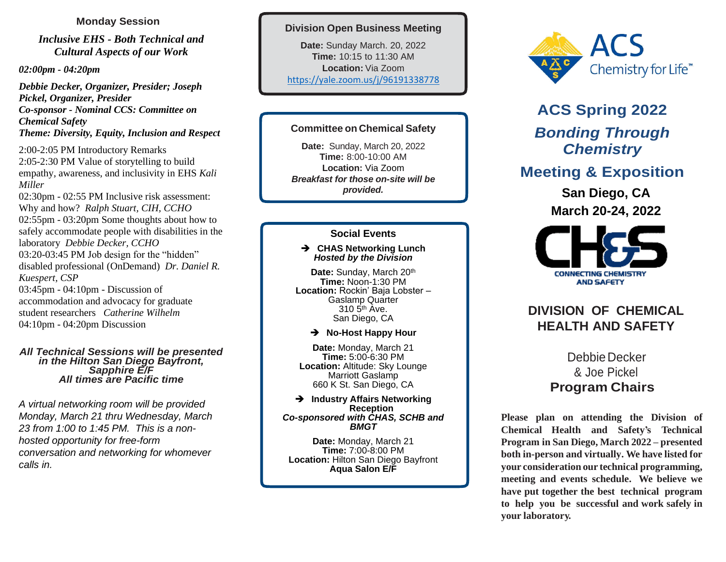### **Monday Session**

*Inclusive EHS - [Both Technical and](https://acs.digitellinc.com/acs/live/22/page/677/1?eventSearchInput=&eventSearchDateTimeStart=&eventSearchDateTimeEnd=&eventSearchTrack%5b%5d=68#sessionCollapse348676)  [Cultural Aspects of our Work](https://acs.digitellinc.com/acs/live/22/page/677/1?eventSearchInput=&eventSearchDateTimeStart=&eventSearchDateTimeEnd=&eventSearchTrack%5b%5d=68#sessionCollapse348676)*

*02:00pm - 04:20pm*

*[Debbie Decker,](https://acs.digitellinc.com/acs/live/22/page/677/1?eventSearchInput=&eventSearchDateTimeStart=&eventSearchDateTimeEnd=&eventSearchTrack%5b%5d=68) Organizer, Presider; [Joseph](https://acs.digitellinc.com/acs/live/22/page/677/1?eventSearchInput=&eventSearchDateTimeStart=&eventSearchDateTimeEnd=&eventSearchTrack%5b%5d=68)  [Pickel,](https://acs.digitellinc.com/acs/live/22/page/677/1?eventSearchInput=&eventSearchDateTimeStart=&eventSearchDateTimeEnd=&eventSearchTrack%5b%5d=68) Organizer, Presider Co-sponsor - [Nominal CCS: Committee on](https://acs.digitellinc.com/acs/live/22/page/677/1?eventSearchTag%5b%5d=283)  [Chemical Safety](https://acs.digitellinc.com/acs/live/22/page/677/1?eventSearchTag%5b%5d=283) [Theme: Diversity, Equity, Inclusion and Respect](https://acs.digitellinc.com/acs/live/22/page/677/1?eventSearchTag%5b%5d=690)*

2:00-2:05 P[M Introductory Remarks](https://acs.digitellinc.com/acs/live/22/page/677/1?eventSearchInput=&eventSearchDateTimeStart=&eventSearchDateTimeEnd=&eventSearchTrack%5b%5d=68#sessionCollapse348681)  2:05-2:30 P[M Value of storytelling to build](https://acs.digitellinc.com/acs/live/22/page/677/1?eventSearchInput=&eventSearchDateTimeStart=&eventSearchDateTimeEnd=&eventSearchTrack%5b%5d=68#sessionCollapse348686)  [empathy, awareness, and inclusivity in EHS](https://acs.digitellinc.com/acs/live/22/page/677/1?eventSearchInput=&eventSearchDateTimeStart=&eventSearchDateTimeEnd=&eventSearchTrack%5b%5d=68#sessionCollapse348686) *[Kali](https://acs.digitellinc.com/acs/live/22/page/677/1?eventSearchInput=&eventSearchDateTimeStart=&eventSearchDateTimeEnd=&eventSearchTrack%5b%5d=68)  [Miller](https://acs.digitellinc.com/acs/live/22/page/677/1?eventSearchInput=&eventSearchDateTimeStart=&eventSearchDateTimeEnd=&eventSearchTrack%5b%5d=68)* 02:30pm - 02:55 PM [Inclusive risk assessment:](https://acs.digitellinc.com/acs/live/22/page/677/1?eventSearchInput=&eventSearchDateTimeStart=&eventSearchDateTimeEnd=&eventSearchTrack%5b%5d=68#sessionCollapse348691)  [Why and how?](https://acs.digitellinc.com/acs/live/22/page/677/1?eventSearchInput=&eventSearchDateTimeStart=&eventSearchDateTimeEnd=&eventSearchTrack%5b%5d=68#sessionCollapse348691) *[Ralph Stuart, CIH, CCHO](https://acs.digitellinc.com/acs/live/22/page/677/1?eventSearchInput=&eventSearchDateTimeStart=&eventSearchDateTimeEnd=&eventSearchTrack%5b%5d=68)* 02:55pm - 03:20pm [Some thoughts about how to](https://acs.digitellinc.com/acs/live/22/page/677/1?eventSearchInput=&eventSearchDateTimeStart=&eventSearchDateTimeEnd=&eventSearchTrack%5b%5d=68#sessionCollapse348696)  [safely accommodate people with disabilities in the](https://acs.digitellinc.com/acs/live/22/page/677/1?eventSearchInput=&eventSearchDateTimeStart=&eventSearchDateTimeEnd=&eventSearchTrack%5b%5d=68#sessionCollapse348696)  [laboratory](https://acs.digitellinc.com/acs/live/22/page/677/1?eventSearchInput=&eventSearchDateTimeStart=&eventSearchDateTimeEnd=&eventSearchTrack%5b%5d=68#sessionCollapse348696) *[Debbie Decker,](https://acs.digitellinc.com/acs/live/22/page/677/1?eventSearchInput=&eventSearchDateTimeStart=&eventSearchDateTimeEnd=&eventSearchTrack%5b%5d=68) CCHO* 03:20-03:45 P[M Job design for the "hidden"](https://acs.digitellinc.com/acs/live/22/page/677/1?eventSearchInput=&eventSearchDateTimeStart=&eventSearchDateTimeEnd=&eventSearchTrack%5b%5d=68#sessionCollapse348701)  [disabled professional \(OnDemand\)](https://acs.digitellinc.com/acs/live/22/page/677/1?eventSearchInput=&eventSearchDateTimeStart=&eventSearchDateTimeEnd=&eventSearchTrack%5b%5d=68#sessionCollapse348701) *[Dr. Daniel R.](https://acs.digitellinc.com/acs/live/22/page/677/1?eventSearchInput=&eventSearchDateTimeStart=&eventSearchDateTimeEnd=&eventSearchTrack%5b%5d=68)  [Kuespert, CSP](https://acs.digitellinc.com/acs/live/22/page/677/1?eventSearchInput=&eventSearchDateTimeStart=&eventSearchDateTimeEnd=&eventSearchTrack%5b%5d=68)* 03:45pm - 04:10pm - [Discussion of](https://acs.digitellinc.com/acs/live/22/page/677/1?eventSearchInput=&eventSearchDateTimeStart=&eventSearchDateTimeEnd=&eventSearchTrack%5b%5d=68#sessionCollapse348706)  [accommodation and advocacy for graduate](https://acs.digitellinc.com/acs/live/22/page/677/1?eventSearchInput=&eventSearchDateTimeStart=&eventSearchDateTimeEnd=&eventSearchTrack%5b%5d=68#sessionCollapse348706)  [student researchers](https://acs.digitellinc.com/acs/live/22/page/677/1?eventSearchInput=&eventSearchDateTimeStart=&eventSearchDateTimeEnd=&eventSearchTrack%5b%5d=68#sessionCollapse348706) *[Catherine Wilhelm](https://acs.digitellinc.com/acs/live/22/page/677/1?eventSearchInput=&eventSearchDateTimeStart=&eventSearchDateTimeEnd=&eventSearchTrack%5b%5d=68)* 04:10pm - 04:20pm [Discussion](https://acs.digitellinc.com/acs/live/22/page/677/1?eventSearchInput=&eventSearchDateTimeStart=&eventSearchDateTimeEnd=&eventSearchTrack%5b%5d=68#sessionCollapse348711) 

#### *All Technical Sessions will be presented in the Hilton San Diego Bayfront, Sapphire E/F All times are Pacific time*

*A virtual networking room will be provided Monday, March 21 thru Wednesday, March 23 from 1:00 to 1:45 PM. This is a nonhosted opportunity for free-form conversation and networking for whomever calls in.*

### **Division Open Business Meeting**

**Date:** Sunday March. 20, 2022 **Time:** 10:15 to 11:30 AM **Location:** Via Zoom <https://yale.zoom.us/j/96191338778>

### **Committee on Chemical Safety**

**Date:** Sunday, March 20, 2022 **Time:** 8:00-10:00 AM **Location:** Via Zoom *Breakfast for those on-site will be provided.*

### **Social Events**

### ➔ **CHAS Networking Lunch** *Hosted by the Division*

Date: Sunday, March 20<sup>th</sup> **Time:** Noon-1:30 PM **Location:** Rockin' Baja Lobster – Gaslamp Quarter  $310<sub>5<sup>th</sup></sub>$  Ave. San Diego, CA

### ➔ **No-Host Happy Hour**

**Date:** Monday, March 21 **Time:** 5:00-6:30 PM **Location:** Altitude: Sky Lounge Marriott Gaslamp 660 K St. San Diego, CA

#### ➔ **Industry Affairs Networking Reception** *Co-sponsored with CHAS, SCHB and BMGT*

**Date:** Monday, March 21 **Time:** 7:00-8:00 PM **Location:** Hilton San Diego Bayfront **Aqua Salon E/F**



# **ACS Spring 2022** *Bonding Through Chemistry*

## **Meeting & Exposition**

**San Diego, CA March 20-24, 2022**



## **DIVISION OF CHEMICAL HEALTH AND SAFETY**

## Debbie Decker & Joe Pickel **Program Chairs**

**Please plan on attending the Division of Chemical Health and Safety's Technical Program in San Diego, March 2022 – presented both in-person and virtually. We have listed for your consideration our technical programming, meeting and events schedule. We believe we have put together the best technical program to help you be successful and work safely in your laboratory.**